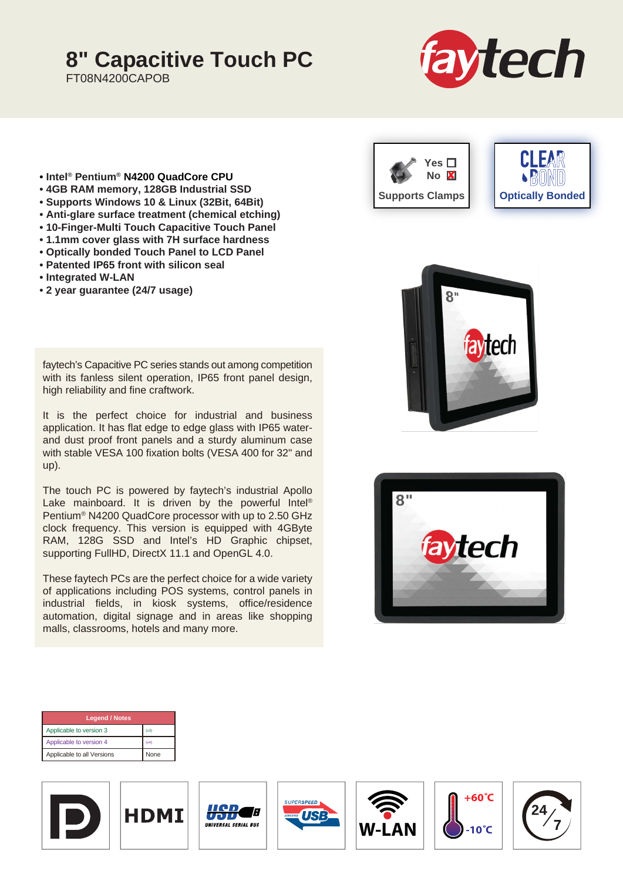## **8" Capacitive Touch PC**

FT08N4200CAPOB



- **Intel® Pentium® N4200 QuadCore CPU**
- **4GB RAM memory, 128GB Industrial SSD**
- **Supports Windows 10 & Linux (32Bit, 64Bit)**
- **Anti-glare surface treatment (chemical etching)**
- **10-Finger-Multi Touch Capacitive Touch Panel**
- **1.1mm cover glass with 7H surface hardness**
- **Optically bonded Touch Panel to LCD Panel**
- **Patented IP65 front with silicon seal**
- **Integrated W-LAN**
- **2 year guarantee (24/7 usage)**

faytech's Capacitive PC series stands out among competition with its fanless silent operation, IP65 front panel design, high reliability and fine craftwork.

It is the perfect choice for industrial and business application. It has flat edge to edge glass with IP65 waterand dust proof front panels and a sturdy aluminum case with stable VESA 100 fixation bolts (VESA 400 for 32" and up).

The touch PC is powered by faytech's industrial Apollo Lake mainboard. It is driven by the powerful Intel® Pentium® N4200 QuadCore processor with up to 2.50 GHz clock frequency. This version is equipped with 4GByte RAM, 128G SSD and Intel's HD Graphic chipset, supporting FullHD, DirectX 11.1 and OpenGL 4.0.

These faytech PCs are the perfect choice for a wide variety of applications including POS systems, control panels in industrial fields, in kiosk systems, office/residence automation, digital signage and in areas like shopping malls, classrooms, hotels and many more.







| <b>Legend / Notes</b>      |             |
|----------------------------|-------------|
| Applicable to version 3    | (v3)        |
| Applicable to version 4    | (v4)        |
| Applicable to all Versions | <b>None</b> |











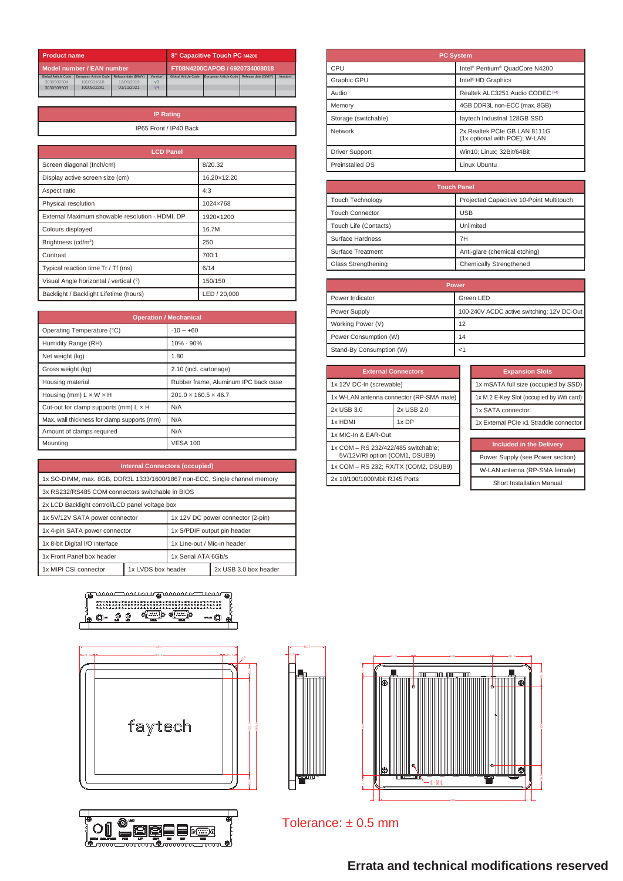| <b>Product name</b>        |                           |                      |          | 8" Capacitive Touch PC N4200   |                       |                      |          |  |  |  |  |
|----------------------------|---------------------------|----------------------|----------|--------------------------------|-----------------------|----------------------|----------|--|--|--|--|
|                            | Model number / EAN number |                      |          | FT08N4200CAPOB / 6920734008018 |                       |                      |          |  |  |  |  |
| <b>Global Article Code</b> | European Article Code     | Release date (D/M/Y) | Version* | <b>Global Article Code</b>     | European Article Code | Release date (D/M/Y) | Version* |  |  |  |  |
| 3030502504                 | 1010501618                | 12/09/2019           | $v_3$    |                                |                       |                      |          |  |  |  |  |
| 3030509503                 | 1010502281                | 01/11/2021           | vd       |                                |                       |                      |          |  |  |  |  |
|                            |                           |                      |          |                                |                       |                      |          |  |  |  |  |

| <b>IP Rating</b>       |
|------------------------|
| IP65 Front / IP40 Back |
|                        |

| <b>LCD Panel</b>                                |              |
|-------------------------------------------------|--------------|
| Screen diagonal (Inch/cm)                       | 8/20.32      |
| Display active screen size (cm)                 | 16.20×12.20  |
| Aspect ratio                                    | 4:3          |
| Physical resolution                             | 1024×768     |
| External Maximum showable resolution - HDMI, DP | 1920×1200    |
| Colours displayed                               | 16.7M        |
| Brightness (cd/m <sup>2</sup> )                 | 250          |
| Contrast                                        | 700:1        |
| Typical reaction time Tr / Tf (ms)              | 6/14         |
| Visual Angle horizontal / vertical (°)          | 150/150      |
| Backlight / Backlight Lifetime (hours)          | LED / 20.000 |

|                                              | <b>Operation / Mechanical</b>        |
|----------------------------------------------|--------------------------------------|
| Operating Temperature (°C)                   | $-10 - +60$                          |
| Humidity Range (RH)                          | 10% - 90%                            |
| Net weight (kg)                              | 1.80                                 |
| Gross weight (kg)                            | 2.10 (incl. cartonage)               |
| Housing material                             | Rubber frame. Aluminum IPC back case |
| Housing (mm) $L \times W \times H$           | $201.0 \times 160.5 \times 46.7$     |
| Cut-out for clamp supports (mm) $L \times H$ | N/A                                  |
| Max. wall thickness for clamp supports (mm)  | N/A                                  |
| Amount of clamps required                    | N/A                                  |
| Mounting                                     | <b>VESA 100</b>                      |

| <b>Internal Connectors (occupied)</b>                                     |                    |                                   |                       |  |  |  |  |  |  |
|---------------------------------------------------------------------------|--------------------|-----------------------------------|-----------------------|--|--|--|--|--|--|
| 1x SO-DIMM, max. 8GB, DDR3L 1333/1600/1867 non-ECC, Single channel memory |                    |                                   |                       |  |  |  |  |  |  |
| 3x RS232/RS485 COM connectors switchable in BIOS                          |                    |                                   |                       |  |  |  |  |  |  |
| 2x LCD Backlight control/LCD panel voltage box                            |                    |                                   |                       |  |  |  |  |  |  |
| 1x 5V/12V SATA power connector                                            |                    | 1x 12V DC power connector (2-pin) |                       |  |  |  |  |  |  |
| 1x 4-pin SATA power connector                                             |                    | 1x S/PDIF output pin header       |                       |  |  |  |  |  |  |
| 1x 8-bit Digital I/O interface                                            |                    | 1x Line-out / Mic-in header       |                       |  |  |  |  |  |  |
| 1x Front Panel box header                                                 |                    | 1x Serial ATA 6Gb/s               |                       |  |  |  |  |  |  |
| 1x MIPI CSI connector                                                     | 1x LVDS box header |                                   | 2x USB 3.0 box header |  |  |  |  |  |  |

| K. | <u>unna mananang unanana manar</u>      |  |  |  |  |      |  |  |  |  |  |  |  |  |
|----|-----------------------------------------|--|--|--|--|------|--|--|--|--|--|--|--|--|
|    | 800080888888888888888888888888888880008 |  |  |  |  |      |  |  |  |  |  |  |  |  |
|    |                                         |  |  |  |  | COMP |  |  |  |  |  |  |  |  |
|    |                                         |  |  |  |  |      |  |  |  |  |  |  |  |  |







| <b>PC System</b>      |                                                               |  |  |  |  |  |
|-----------------------|---------------------------------------------------------------|--|--|--|--|--|
| CPU                   | Intel <sup>®</sup> Pentium <sup>®</sup> QuadCore N4200        |  |  |  |  |  |
| Graphic GPU           | Intel <sup>®</sup> HD Graphics                                |  |  |  |  |  |
| Audio                 | Realtek ALC3251 Audio CODEC <sup>(v4)</sup>                   |  |  |  |  |  |
| Memory                | 4GB DDR3L non-ECC (max. 8GB)                                  |  |  |  |  |  |
| Storage (switchable)  | faytech Industrial 128GB SSD                                  |  |  |  |  |  |
| Network               | 2x Realtek PCIe GB LAN 8111G<br>(1x optional with POE); W-LAN |  |  |  |  |  |
| <b>Driver Support</b> | Win10; Linux; 32Bit/64Bit                                     |  |  |  |  |  |
| Preinstalled OS       | Linux Uhuntu                                                  |  |  |  |  |  |

| <b>Touch Panel</b>      |                                          |  |  |  |  |  |  |
|-------------------------|------------------------------------------|--|--|--|--|--|--|
| <b>Touch Technology</b> | Projected Capacitive 10-Point Multitouch |  |  |  |  |  |  |
| <b>Touch Connector</b>  | <b>USB</b>                               |  |  |  |  |  |  |
| Touch Life (Contacts)   | Unlimited                                |  |  |  |  |  |  |
| Surface Hardness        | 7H                                       |  |  |  |  |  |  |
| Surface Treatment       | Anti-glare (chemical etching)            |  |  |  |  |  |  |
| Glass Strengthening     | Chemically Strengthened                  |  |  |  |  |  |  |

| Power                    |                                            |  |  |  |  |  |  |
|--------------------------|--------------------------------------------|--|--|--|--|--|--|
| Power Indicator          | Green LED                                  |  |  |  |  |  |  |
| Power Supply             | 100-240V ACDC active switching; 12V DC-Out |  |  |  |  |  |  |
| Working Power (V)        | 12                                         |  |  |  |  |  |  |
| Power Consumption (W)    | 14                                         |  |  |  |  |  |  |
| Stand-By Consumption (W) |                                            |  |  |  |  |  |  |

| <b>External Connectors</b>                                            |            |  |  |  |  |  |
|-----------------------------------------------------------------------|------------|--|--|--|--|--|
| 1x 12V DC-In (screwable)                                              |            |  |  |  |  |  |
| 1x W-LAN antenna connector (RP-SMA male)                              |            |  |  |  |  |  |
| 2x USB 3.0                                                            | 2x USB 2.0 |  |  |  |  |  |
| 1x DP<br>1x HDMI                                                      |            |  |  |  |  |  |
| 1x MIC-In & EAR-Out                                                   |            |  |  |  |  |  |
| 1x COM - RS 232/422/485 switchable:<br>5V/12V/RI option (COM1, DSUB9) |            |  |  |  |  |  |
| 1x COM - RS 232; RX/TX (COM2, DSUB9)                                  |            |  |  |  |  |  |
| 2x 10/100/1000Mbit RJ45 Ports                                         |            |  |  |  |  |  |

| <b>Expansion Slots</b>                    |
|-------------------------------------------|
| 1x mSATA full size (occupied by SSD)      |
| 1x M.2 E-Key Slot (occupied by Wifi card) |
| 1x SATA connector                         |
| 1x External PCIe x1 Straddle connector    |
|                                           |

|  |  | <b>Included in the Delivery</b> |  |
|--|--|---------------------------------|--|
|  |  |                                 |  |

Power Supply (see Power section) W-LAN antenna (RP-SMA female)

Short Installation Manual



Tolerance: ± 0.5 mm